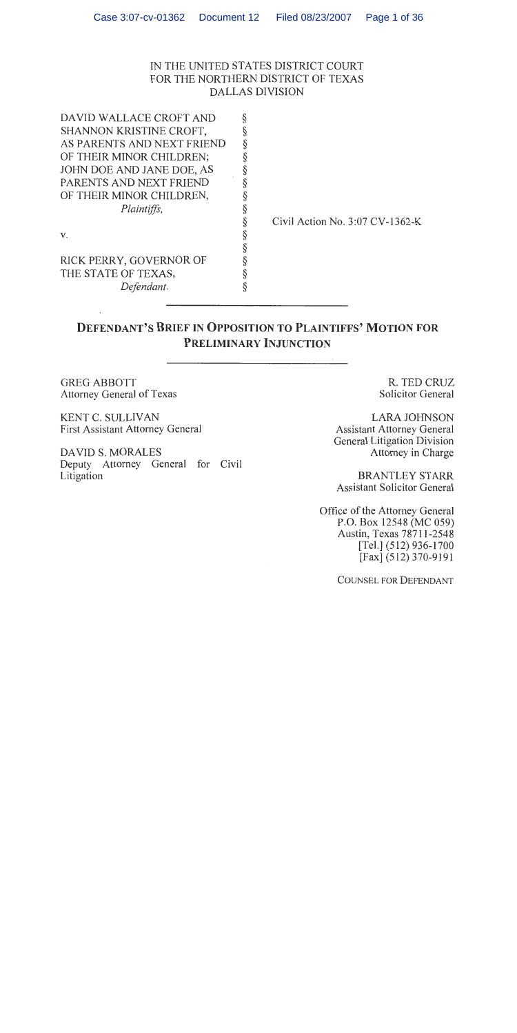## IN THE UNITED STATES DISTRICT COURT FOR THE NORTHERN DISTRICT OF TEXAS **DALLAS DIVISION**

| DAVID WALLACE CROFT AND<br>SHANNON KRISTINE CROFT,<br>AS PARENTS AND NEXT FRIEND<br>OF THEIR MINOR CHILDREN;<br>JOHN DOE AND JANE DOE, AS<br>PARENTS AND NEXT FRIEND<br>OF THEIR MINOR CHILDREN,<br>Plaintiffs,<br>V.<br>RICK PERRY, GOVERNOR OF<br>THE STATE OF TEXAS, | Civil Action No. $3:07$ CV-1362-K |
|-------------------------------------------------------------------------------------------------------------------------------------------------------------------------------------------------------------------------------------------------------------------------|-----------------------------------|
| Defendant.                                                                                                                                                                                                                                                              |                                   |

# **DEFENDANT'S BRIEF IN OPPOSITION TO PLAINTIFFS' MOTION FOR** PRELIMINARY INJUNCTION

**GREG ABBOTT** Attorney General of Texas

KENT C. SULLIVAN **First Assistant Attorney General** 

**DAVID S. MORALES** Deputy Attorney General for Civil Litigation

R. TED CRUZ **Solicitor General** 

**LARA JOHNSON Assistant Attorney General General Litigation Division** Attorney in Charge

**BRANTLEY STARR Assistant Solicitor General** 

Office of the Attorney General P.O. Box 12548 (MC 059) Austin, Texas 78711-2548 [Tel.] (512) 936-1700 [Fax] (512) 370-9191

**COUNSEL FOR DEFENDANT**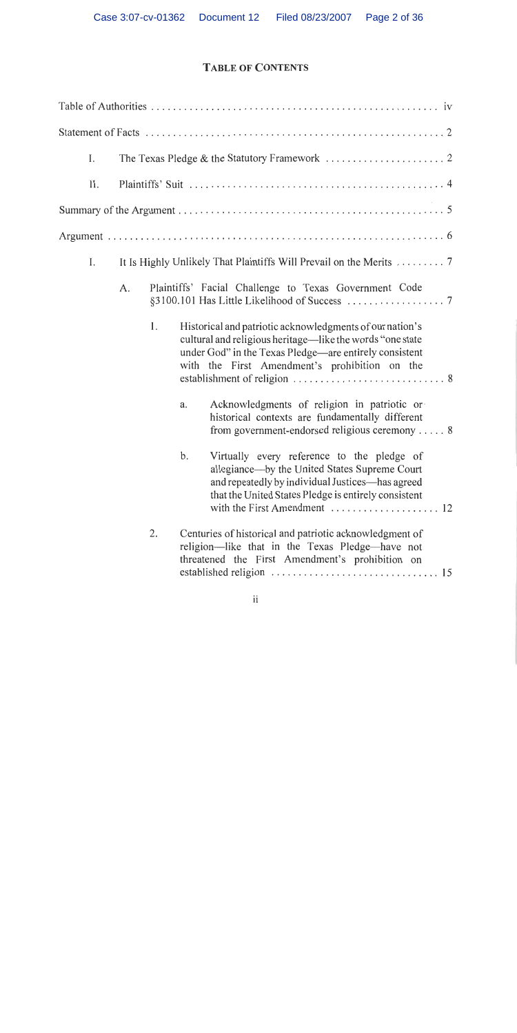# **TABLE OF CONTENTS**

| I.  |    |    |                                                                                                                                                                                                                                   |
|-----|----|----|-----------------------------------------------------------------------------------------------------------------------------------------------------------------------------------------------------------------------------------|
| II. |    |    |                                                                                                                                                                                                                                   |
|     |    |    |                                                                                                                                                                                                                                   |
|     |    |    |                                                                                                                                                                                                                                   |
| I.  |    |    | It Is Highly Unlikely That Plaintiffs Will Prevail on the Merits  7                                                                                                                                                               |
|     | A. |    | Plaintiffs' Facial Challenge to Texas Government Code                                                                                                                                                                             |
|     |    | 1. | Historical and patriotic acknowledgments of our nation's<br>cultural and religious heritage—like the words "one state"<br>under God" in the Texas Pledge—are entirely consistent<br>with the First Amendment's prohibition on the |
|     |    |    | Acknowledgments of religion in patriotic or<br>a.<br>historical contexts are fundamentally different<br>from government-endorsed religious ceremony  8                                                                            |
|     |    |    | b.<br>Virtually every reference to the pledge of<br>allegiance-by the United States Supreme Court<br>and repeatedly by individual Justices—has agreed<br>that the United States Pledge is entirely consistent                     |
|     |    | 2. | Centuries of historical and patriotic acknowledgment of<br>religion—like that in the Texas Pledge—have not<br>threatened the First Amendment's prohibition on                                                                     |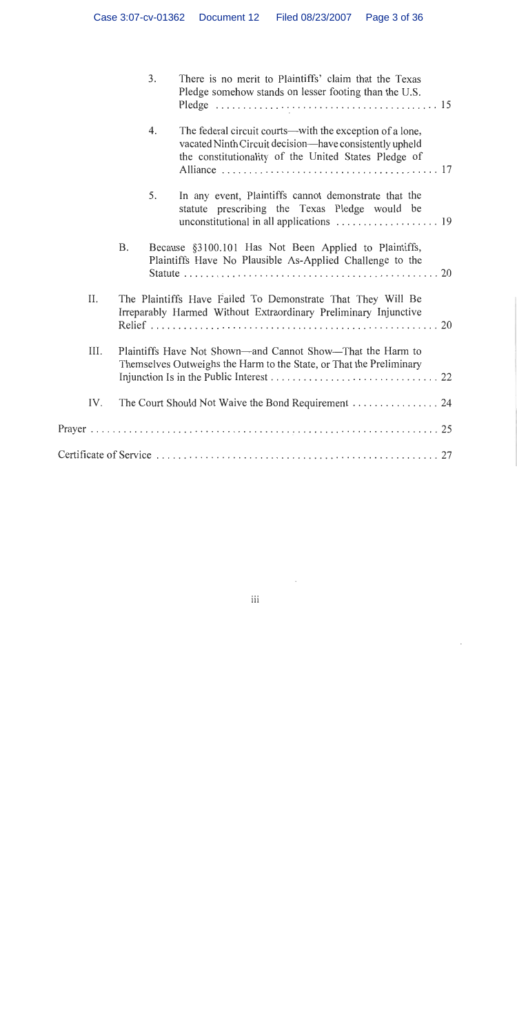|      |                                                                                                                                   | 3. | There is no merit to Plaintiffs' claim that the Texas<br>Pledge somehow stands on lesser footing than the U.S.                                                              |
|------|-----------------------------------------------------------------------------------------------------------------------------------|----|-----------------------------------------------------------------------------------------------------------------------------------------------------------------------------|
|      |                                                                                                                                   | 4. | The federal circuit courts—with the exception of a lone,<br>vacated Ninth Circuit decision—have consistently upheld<br>the constitutionality of the United States Pledge of |
|      |                                                                                                                                   | 5. | In any event, Plaintiffs cannot demonstrate that the<br>statute prescribing the Texas Pledge would be                                                                       |
|      | Β.                                                                                                                                |    | Because §3100.101 Has Not Been Applied to Plaintiffs,<br>Plaintiffs Have No Plausible As-Applied Challenge to the                                                           |
| II.  |                                                                                                                                   |    | The Plaintiffs Have Failed To Demonstrate That They Will Be<br>Irreparably Harmed Without Extraordinary Preliminary Injunctive                                              |
| III. | Plaintiffs Have Not Shown—and Cannot Show—That the Harm to<br>Themselves Outweighs the Harm to the State, or That the Preliminary |    |                                                                                                                                                                             |
| IV.  |                                                                                                                                   |    |                                                                                                                                                                             |
|      |                                                                                                                                   |    |                                                                                                                                                                             |
|      |                                                                                                                                   |    |                                                                                                                                                                             |

 $\sim 10^{-11}$ 

 $\epsilon$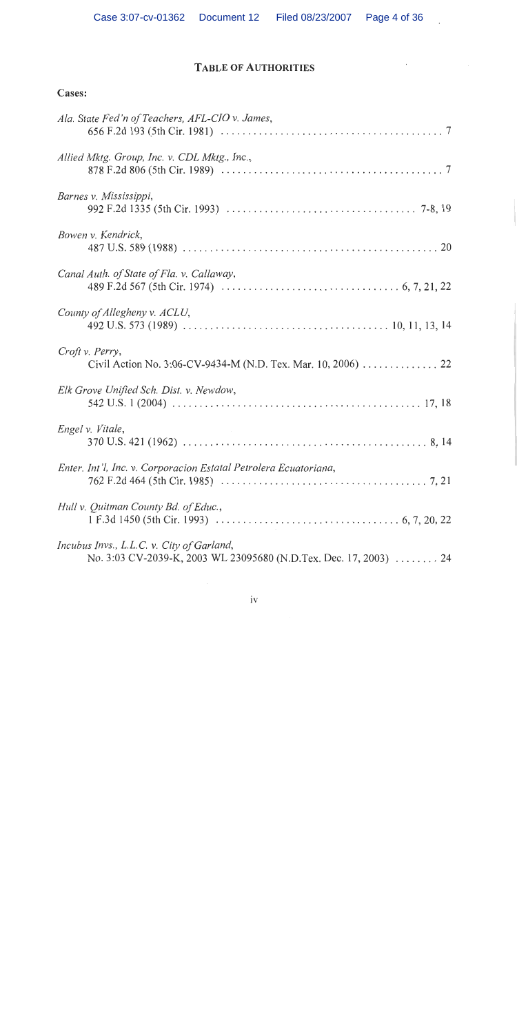## **TABLE OF AUTHORITIES**

 $\bar{\epsilon}$ 

## Cases:

| Ala. State Fed'n of Teachers, AFL-CIO v. James,                                                                |
|----------------------------------------------------------------------------------------------------------------|
| Allied Mktg. Group, Inc. v. CDL Mktg., Inc.,                                                                   |
| Barnes v. Mississippi,                                                                                         |
| Bowen v. Kendrick,                                                                                             |
| Canal Auth. of State of Fla. v. Callaway,                                                                      |
| County of Allegheny v. ACLU,                                                                                   |
| Croft v. Perry,<br>Civil Action No. 3:06-CV-9434-M (N.D. Tex. Mar. 10, 2006) 22                                |
| Elk Grove Unified Sch. Dist. v. Newdow,                                                                        |
| Engel v. Vitale,                                                                                               |
| Enter. Int'l, Inc. v. Corporacion Estatal Petrolera Ecuatoriana,                                               |
| Hull v. Quitman County Bd. of Educ.,                                                                           |
| Incubus Invs., L.L.C. v. City of Garland,<br>No. 3:03 CV-2039-K, 2003 WL 23095680 (N.D.Tex. Dec. 17, 2003)  24 |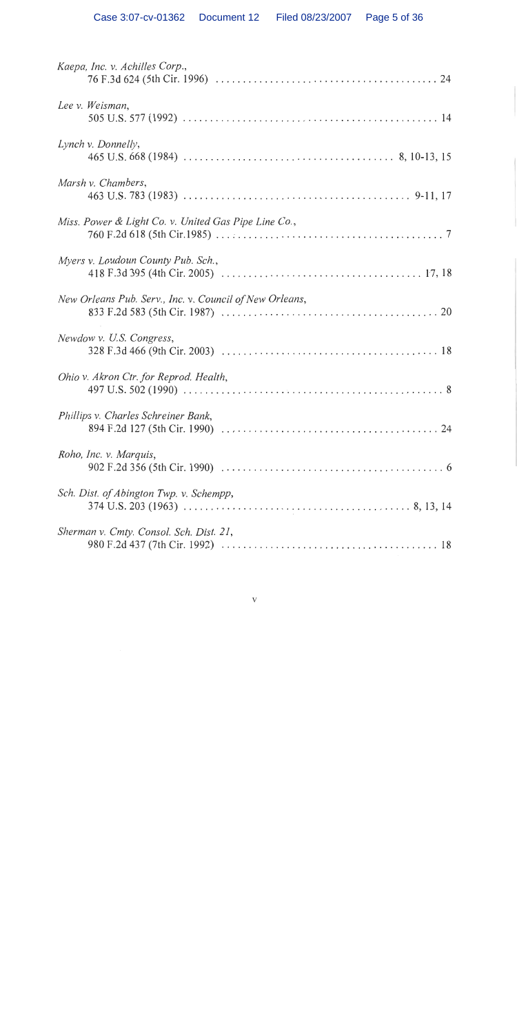| Kaepa, Inc. v. Achilles Corp.,                          |
|---------------------------------------------------------|
| Lee v. Weisman,                                         |
| Lynch v. Donnelly,                                      |
| Marsh v. Chambers,                                      |
| Miss. Power & Light Co. v. United Gas Pipe Line Co.,    |
| Myers v. Loudoun County Pub. Sch.,                      |
| New Orleans Pub. Serv., Inc. v. Council of New Orleans, |
| Newdow v. U.S. Congress,                                |
| Ohio v. Akron Ctr. for Reprod. Health,                  |
| Phillips v. Charles Schreiner Bank,                     |
| Roho, Inc. v. Marquis,                                  |
| Sch. Dist. of Abington Twp. v. Schempp,                 |
| Sherman v. Cmty. Consol. Sch. Dist. 21,                 |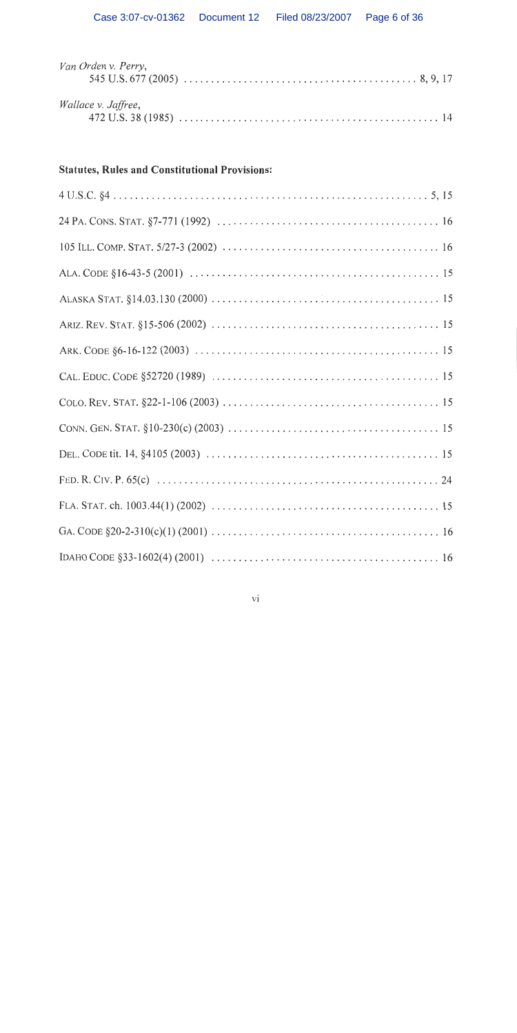| Van Orden v. Perry, |  |  |  |
|---------------------|--|--|--|
| Wallace v. Jaffree, |  |  |  |

# **Statutes, Rules and Constitutional Provisions:**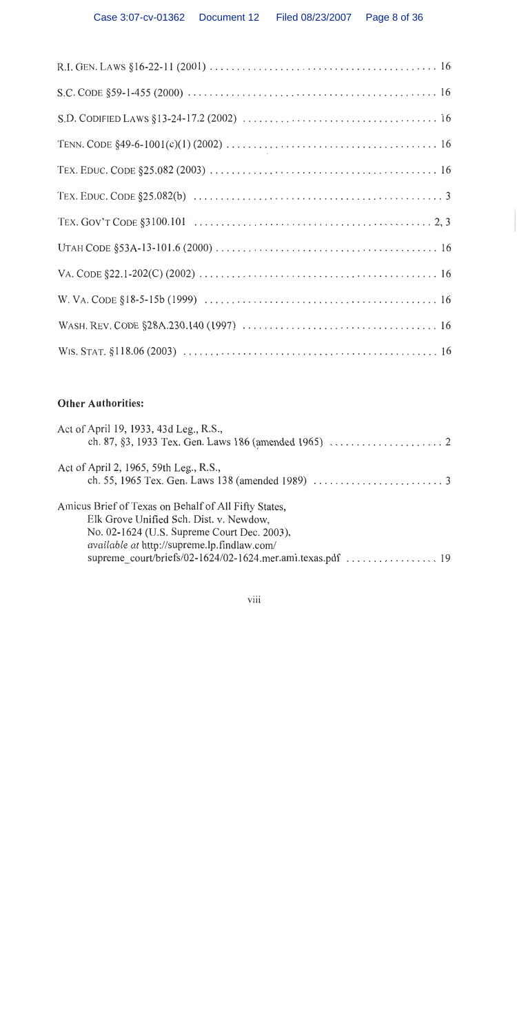# Other Authorities:

| Act of April 19, 1933, 43d Leg., R.S.,                                                                                                                                                               |  |
|------------------------------------------------------------------------------------------------------------------------------------------------------------------------------------------------------|--|
| Act of April 2, 1965, 59th Leg., R.S.,                                                                                                                                                               |  |
| Amicus Brief of Texas on Behalf of All Fifty States,<br>Elk Grove Unified Sch. Dist. v. Newdow,<br>No. 02-1624 (U.S. Supreme Court Dec. 2003),<br><i>available at http://supreme.lp.findlaw.com/</i> |  |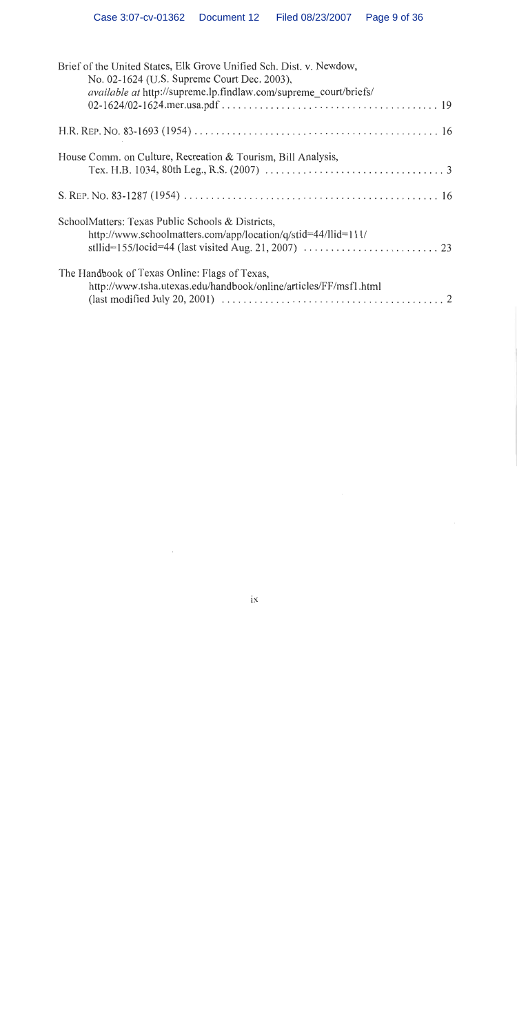| Brief of the United States, Elk Grove Unified Sch. Dist. v. Newdow,<br>No. 02-1624 (U.S. Supreme Court Dec. 2003),<br><i>available at http://supreme.lp.findlaw.com/supreme court/briefs/</i> |
|-----------------------------------------------------------------------------------------------------------------------------------------------------------------------------------------------|
|                                                                                                                                                                                               |
|                                                                                                                                                                                               |
| House Comm. on Culture, Recreation & Tourism, Bill Analysis,                                                                                                                                  |
|                                                                                                                                                                                               |
| SchoolMatters: Texas Public Schools & Districts,<br>http://www.schoolmatters.com/app/location/q/stid=44/llid=111/                                                                             |
| The Handbook of Texas Online: Flags of Texas,<br>http://www.tsha.utexas.edu/handbook/online/articles/FF/msf1.html                                                                             |

 $\sim$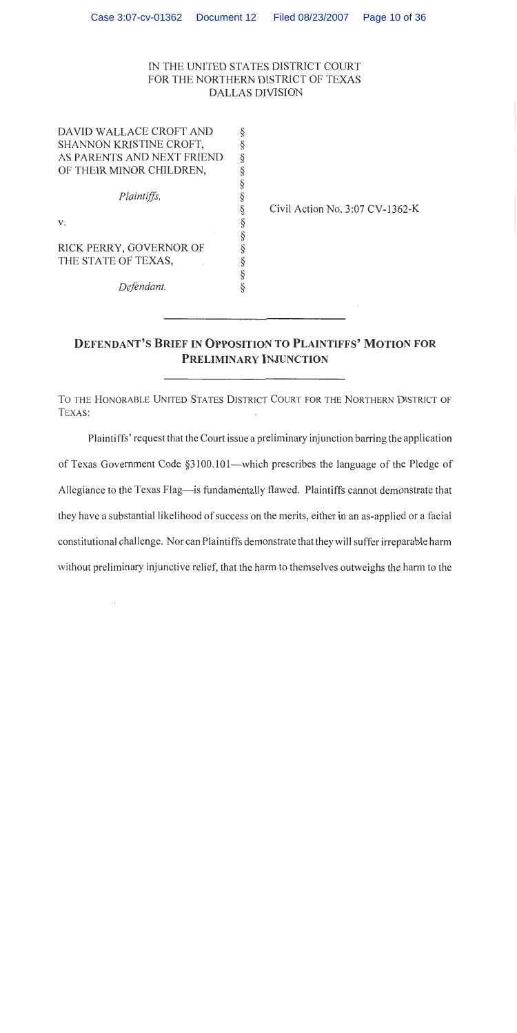## IN THE UNITED STATES DISTRICT COURT FOR THE NORTHERN DISTRICT OF TEXAS **DALLAS DIVISION**

| DAVID WALLACE CROFT AND    |   |
|----------------------------|---|
| SHANNON KRISTINE CROFT,    |   |
| AS PARENTS AND NEXT FRIEND | ş |
| OF THEIR MINOR CHILDREN,   | § |
|                            | ş |
| Plaintiffs,                | ş |
|                            | ş |
| V.                         | § |
|                            | § |
| RICK PERRY, GOVERNOR OF    | § |
| THE STATE OF TEXAS,        | ş |
|                            | ş |
| Defendant.                 |   |
|                            |   |

Civil Action No. 3:07 CV-1362-K

# **DEFENDANT'S BRIEF IN OPPOSITION TO PLAINTIFFS' MOTION FOR PRELIMINARY INJUNCTION**

TO THE HONORABLE UNITED STATES DISTRICT COURT FOR THE NORTHERN DISTRICT OF TEXAS:

Plaintiffs' request that the Court issue a preliminary injunction barring the application of Texas Government Code §3100.101—which prescribes the language of the Pledge of Allegiance to the Texas Flag-is fundamentally flawed. Plaintiffs cannot demonstrate that they have a substantial likelihood of success on the merits, either in an as-applied or a facial constitutional challenge. Nor can Plaintiffs demonstrate that they will suffer irreparable harm without preliminary injunctive relief, that the harm to themselves outweighs the harm to the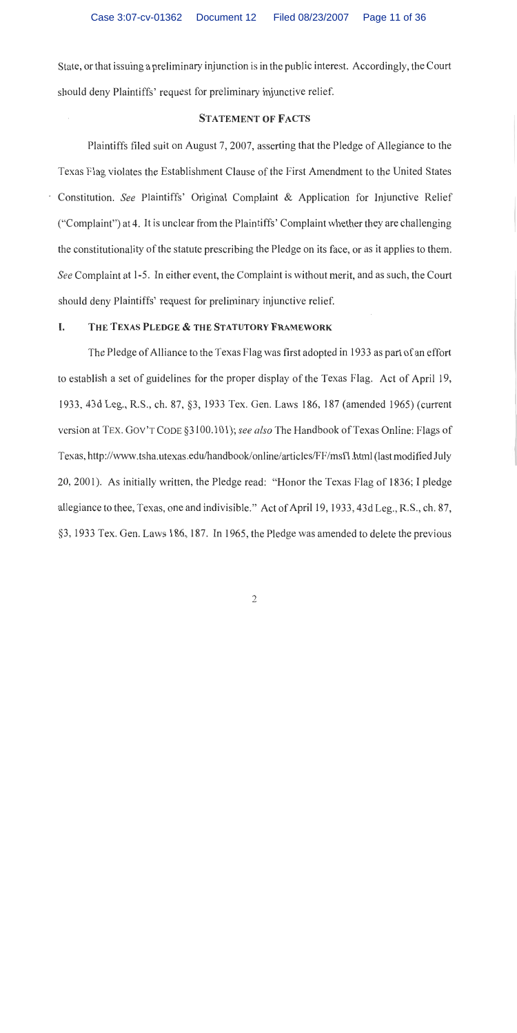State, or that issuing a preliminary injunction is in the public interest. Accordingly, the Court should deny Plaintiffs' request for preliminary injunctive relief.

## **STATEMENT OF FACTS**

Plaintiffs filed suit on August 7, 2007, asserting that the Pledge of Allegiance to the Texas Flag violates the Establishment Clause of the First Amendment to the United States Constitution. See Plaintiffs' Original Complaint & Application for Injunctive Relief ("Complaint") at 4. It is unclear from the Plaintiffs' Complaint whether they are challenging the constitutionality of the statute prescribing the Pledge on its face, or as it applies to them. See Complaint at 1-5. In either event, the Complaint is without merit, and as such, the Court should deny Plaintiffs' request for preliminary injunctive relief.

#### I. THE TEXAS PLEDGE & THE STATUTORY FRAMEWORK

The Pledge of Alliance to the Texas Flag was first adopted in 1933 as part of an effort to establish a set of guidelines for the proper display of the Texas Flag. Act of April 19, 1933, 43d Leg., R.S., ch. 87, §3, 1933 Tex. Gen. Laws 186, 187 (amended 1965) (current version at TEX. GOV'T CODE §3100.101); see also The Handbook of Texas Online: Flags of Texas, http://www.tsha.utexas.edu/handbook/online/articles/FF/msf1.html (last modified July 20, 2001). As initially written, the Pledge read: "Honor the Texas Flag of 1836; I pledge allegiance to thee, Texas, one and indivisible." Act of April 19, 1933, 43d Leg., R.S., ch. 87, §3, 1933 Tex. Gen. Laws 186, 187. In 1965, the Pledge was amended to delete the previous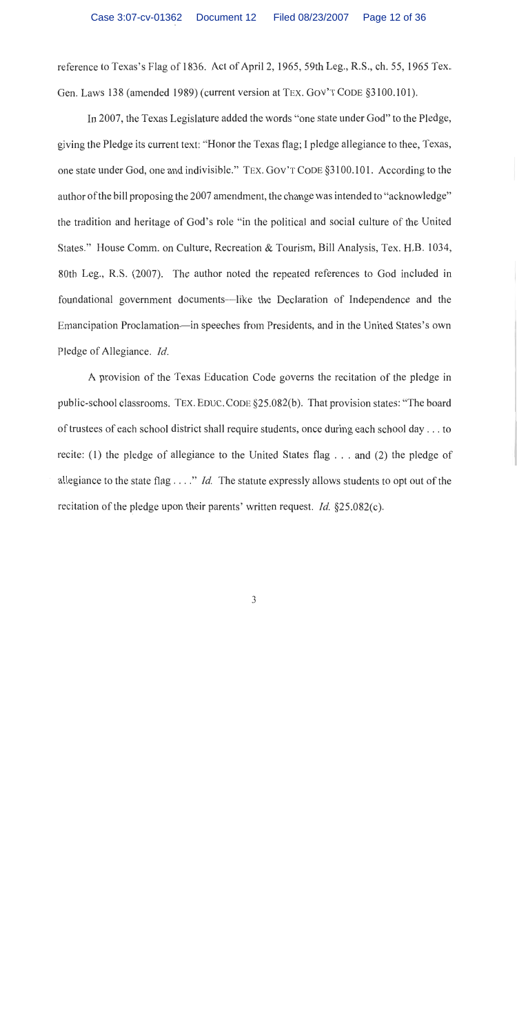reference to Texas's Flag of 1836. Act of April 2, 1965, 59th Leg., R.S., ch. 55, 1965 Tex. Gen. Laws 138 (amended 1989) (current version at TEX. GOV'T CODE §3100.101).

In 2007, the Texas Legislature added the words "one state under God" to the Pledge, giving the Pledge its current text: "Honor the Texas flag; I pledge allegiance to thee, Texas, one state under God, one and indivisible." TEX. GOV'T CODE §3100.101. According to the author of the bill proposing the 2007 amendment, the change was intended to "acknowledge" the tradition and heritage of God's role "in the political and social culture of the United States." House Comm. on Culture, Recreation & Tourism, Bill Analysis, Tex. H.B. 1034, 80th Leg., R.S. (2007). The author noted the repeated references to God included in foundational government documents—like the Declaration of Independence and the Emancipation Proclamation—in speeches from Presidents, and in the United States's own Pledge of Allegiance. Id.

A provision of the Texas Education Code governs the recitation of the pledge in public-school classrooms. TEX. EDUC. CODE §25.082(b). That provision states: "The board of trustees of each school district shall require students, once during each school day . . . to recite: (1) the pledge of allegiance to the United States flag  $\dots$  and (2) the pledge of allegiance to the state flag . . . ." *Id*. The statute expressly allows students to opt out of the recitation of the pledge upon their parents' written request. *Id.*  $\S 25.082(c)$ .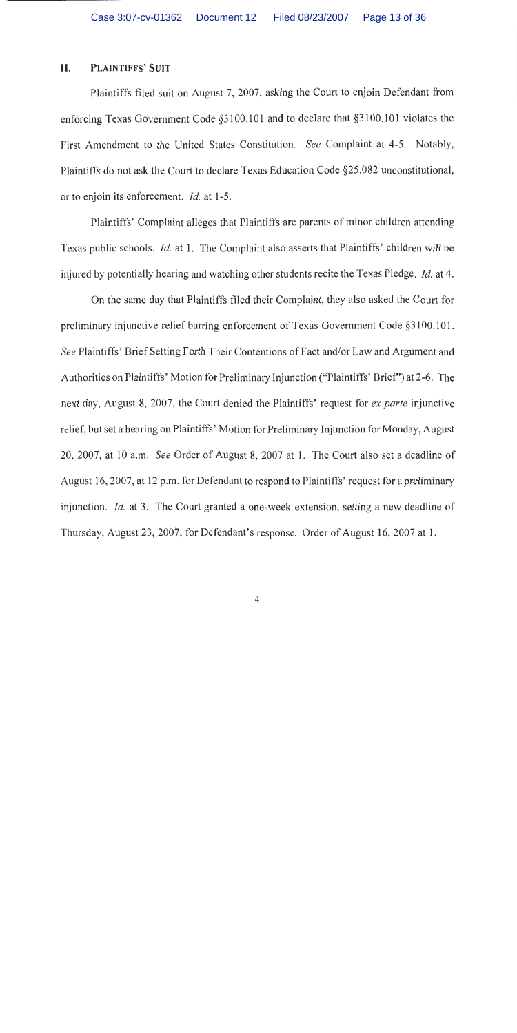#### II. PLAINTIFFS' SUIT

Plaintiffs filed suit on August 7, 2007, asking the Court to enjoin Defendant from enforcing Texas Government Code §3100.101 and to declare that §3100.101 violates the First Amendment to the United States Constitution. See Complaint at 4-5. Notably, Plaintiffs do not ask the Court to declare Texas Education Code §25.082 unconstitutional, or to enjoin its enforcement. *Id.* at 1-5.

Plaintiffs' Complaint alleges that Plaintiffs are parents of minor children attending Texas public schools. *Id.* at 1. The Complaint also asserts that Plaintiffs' children will be injured by potentially hearing and watching other students recite the Texas Pledge. *Id.* at 4.

On the same day that Plaintiffs filed their Complaint, they also asked the Court for preliminary injunctive relief barring enforcement of Texas Government Code §3100.101. See Plaintiffs' Brief Setting Forth Their Contentions of Fact and/or Law and Argument and Authorities on Plaintiffs' Motion for Preliminary Injunction ("Plaintiffs' Brief") at 2-6. The next day, August 8, 2007, the Court denied the Plaintiffs' request for ex parte injunctive relief, but set a hearing on Plaintiffs' Motion for Preliminary Injunction for Monday, August 20, 2007, at 10 a.m. See Order of August 8, 2007 at 1. The Court also set a deadline of August 16, 2007, at 12 p.m. for Defendant to respond to Plaintiffs' request for a preliminary injunction. Id. at 3. The Court granted a one-week extension, setting a new deadline of Thursday, August 23, 2007, for Defendant's response. Order of August 16, 2007 at 1.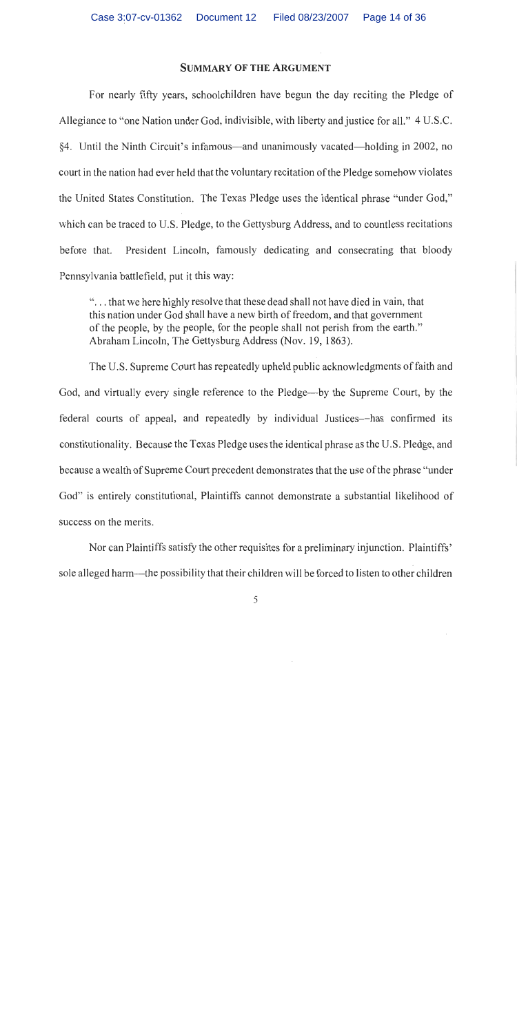## **SUMMARY OF THE ARGUMENT**

For nearly fifty years, schoolchildren have begun the day reciting the Pledge of Allegiance to "one Nation under God, indivisible, with liberty and justice for all." 4 U.S.C. 84. Until the Ninth Circuit's infamous—and unanimously vacated—holding in 2002, no court in the nation had ever held that the voluntary recitation of the Pledge somehow violates the United States Constitution. The Texas Pledge uses the identical phrase "under God," which can be traced to U.S. Pledge, to the Gettysburg Address, and to countless recitations President Lincoln, famously dedicating and consecrating that bloody before that. Pennsylvania battlefield, put it this way:

"... that we here highly resolve that these dead shall not have died in vain, that this nation under God shall have a new birth of freedom, and that government of the people, by the people, for the people shall not perish from the earth." Abraham Lincoln, The Gettysburg Address (Nov. 19, 1863).

The U.S. Supreme Court has repeatedly upheld public acknowledgments of faith and God, and virtually every single reference to the Pledge—by the Supreme Court, by the federal courts of appeal, and repeatedly by individual Justices—has confirmed its constitutionality. Because the Texas Pledge uses the identical phrase as the U.S. Pledge, and because a wealth of Supreme Court precedent demonstrates that the use of the phrase "under" God" is entirely constitutional, Plaintiffs cannot demonstrate a substantial likelihood of success on the merits.

Nor can Plaintiffs satisfy the other requisites for a preliminary injunction. Plaintiffs' sole alleged harm—the possibility that their children will be forced to listen to other children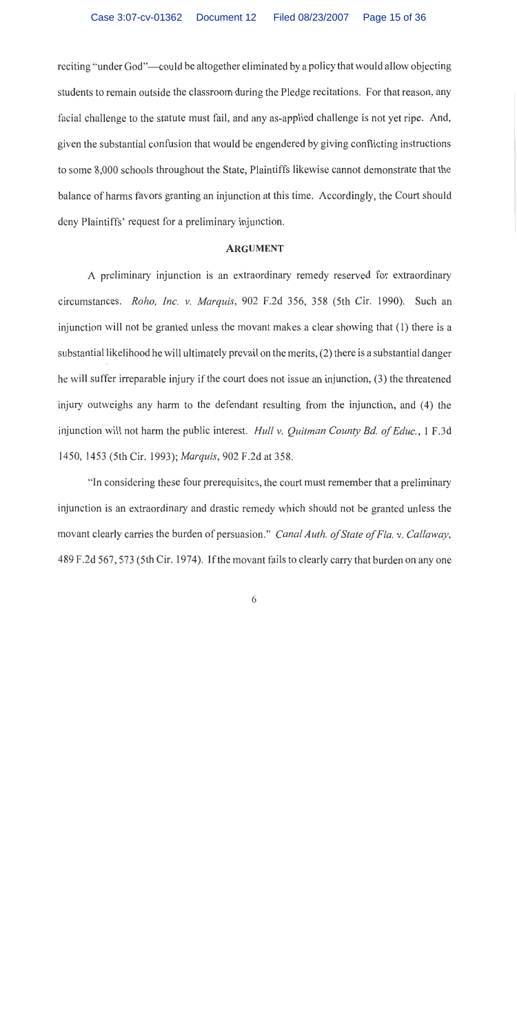reciting "under God"—could be altogether eliminated by a policy that would allow objecting students to remain outside the classroom during the Pledge recitations. For that reason, any facial challenge to the statute must fail, and any as-applied challenge is not yet ripe. And, given the substantial confusion that would be engendered by giving conflicting instructions to some 8,000 schools throughout the State, Plaintiffs likewise cannot demonstrate that the balance of harms favors granting an injunction at this time. Accordingly, the Court should deny Plaintiffs' request for a preliminary injunction.

## **ARGUMENT**

A preliminary injunction is an extraordinary remedy reserved for extraordinary circumstances. Roho, Inc. v. Marquis, 902 F.2d 356, 358 (5th Cir. 1990). Such an injunction will not be granted unless the movant makes a clear showing that (1) there is a substantial likelihood he will ultimately prevail on the merits, (2) there is a substantial danger he will suffer irreparable injury if the court does not issue an injunction, (3) the threatened injury outweighs any harm to the defendant resulting from the injunction, and (4) the injunction will not harm the public interest. *Hull v. Quitman County Bd. of Educ.*, 1 F.3d 1450, 1453 (5th Cir. 1993); Marquis, 902 F.2d at 358.

"In considering these four prerequisites, the court must remember that a preliminary injunction is an extraordinary and drastic remedy which should not be granted unless the movant clearly carries the burden of persuasion." Canal Auth. of State of Fla. v. Callaway, 489 F.2d 567, 573 (5th Cir. 1974). If the movant fails to clearly carry that burden on any one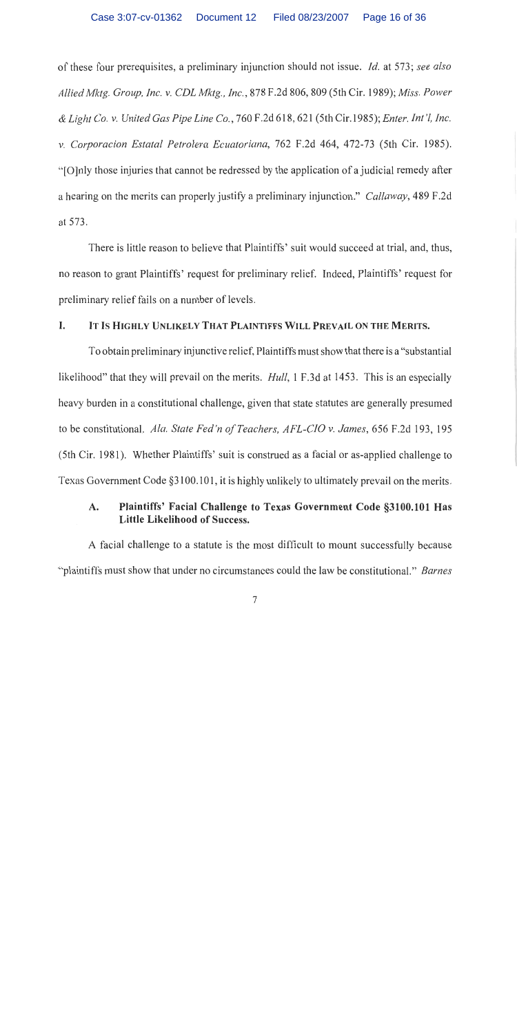of these four prerequisites, a preliminary injunction should not issue. *Id.* at 573; see also Allied Mktg. Group, Inc. v. CDL Mktg., Inc., 878 F.2d 806, 809 (5th Cir. 1989); Miss. Power & Light Co. v. United Gas Pipe Line Co., 760 F.2d 618, 621 (5th Cir.1985); Enter. Int'l, Inc. v. Corporacion Estatal Petrolera Ecuatoriana, 762 F.2d 464, 472-73 (5th Cir. 1985). "[O]nly those injuries that cannot be redressed by the application of a judicial remedy after a hearing on the merits can properly justify a preliminary injunction." Callaway, 489 F.2d at 573.

There is little reason to believe that Plaintiffs' suit would succeed at trial, and, thus, no reason to grant Plaintiffs' request for preliminary relief. Indeed, Plaintiffs' request for preliminary relief fails on a number of levels.

#### I. IT IS HIGHLY UNLIKELY THAT PLAINTIFFS WILL PREVAIL ON THE MERITS.

To obtain preliminary injunctive relief, Plaintiffs must show that there is a "substantial" likelihood" that they will prevail on the merits. *Hull*, 1 F.3d at 1453. This is an especially heavy burden in a constitutional challenge, given that state statutes are generally presumed to be constitutional. Ala. State Fed'n of Teachers, AFL-CIO v. James, 656 F.2d 193, 195 (5th Cir. 1981). Whether Plaintiffs' suit is construed as a facial or as-applied challenge to Texas Government Code §3100.101, it is highly unlikely to ultimately prevail on the merits.

### A. Plaintiffs' Facial Challenge to Texas Government Code §3100.101 Has Little Likelihood of Success.

A facial challenge to a statute is the most difficult to mount successfully because "plaintiffs must show that under no circumstances could the law be constitutional." Barnes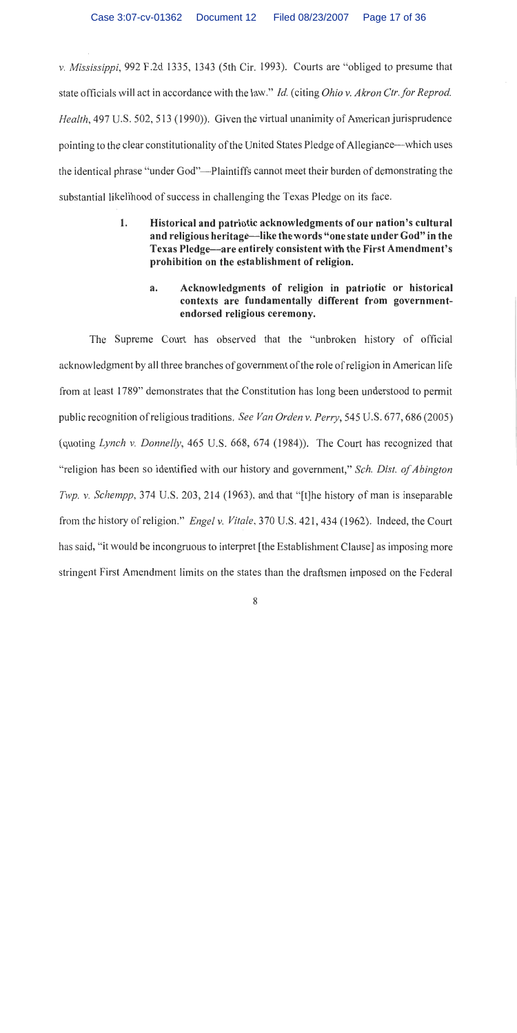v. Mississippi, 992 F.2d 1335, 1343 (5th Cir. 1993). Courts are "obliged to presume that state officials will act in accordance with the law." Id. (citing Ohio v. Akron Ctr. for Reprod. Health, 497 U.S. 502, 513 (1990)). Given the virtual unanimity of American jurisprudence pointing to the clear constitutionality of the United States Pledge of Allegiance—which uses the identical phrase "under God"—Plaintiffs cannot meet their burden of demonstrating the substantial likelihood of success in challenging the Texas Pledge on its face.

- 1. Historical and patriotic acknowledgments of our nation's cultural and religious heritage—like the words "one state under God" in the Texas Pledge—are entirely consistent with the First Amendment's prohibition on the establishment of religion.
	- Acknowledgments of religion in patriotic or historical  $a.$ contexts are fundamentally different from governmentendorsed religious ceremony.

The Supreme Court has observed that the "unbroken history of official acknowledgment by all three branches of government of the role of religion in American life from at least 1789" demonstrates that the Constitution has long been understood to permit public recognition of religious traditions. See Van Orden v. Perry, 545 U.S. 677, 686 (2005) (quoting Lynch v. Donnelly, 465 U.S. 668, 674 (1984)). The Court has recognized that "religion has been so identified with our history and government," Sch. Dist. of Abington Twp. v. Schempp, 374 U.S. 203, 214 (1963), and that "[t]he history of man is inseparable from the history of religion." *Engel v. Vitale*, 370 U.S. 421, 434 (1962). Indeed, the Court has said, "it would be incongruous to interpret [the Establishment Clause] as imposing more stringent First Amendment limits on the states than the draftsmen imposed on the Federal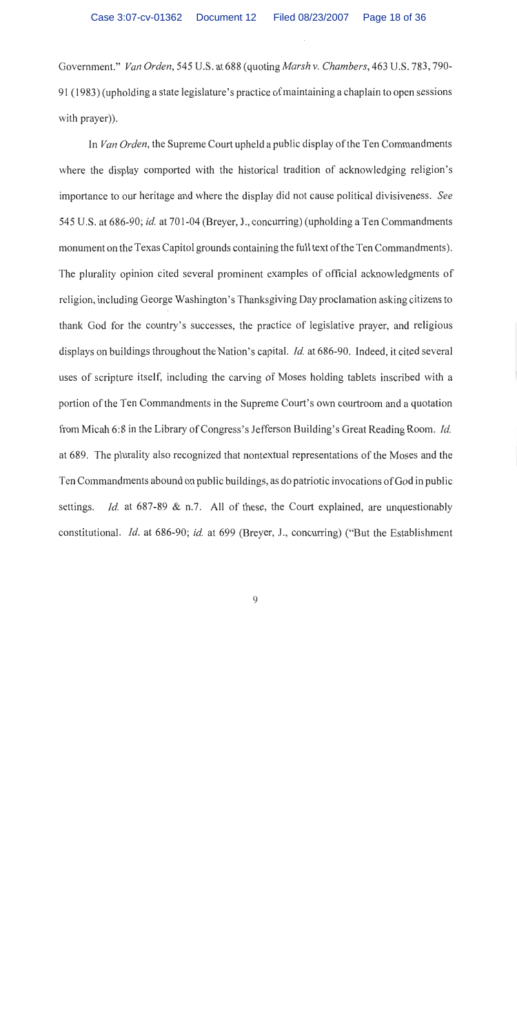Government." Van Orden, 545 U.S. at 688 (quoting Marsh v. Chambers, 463 U.S. 783, 790-91 (1983) (upholding a state legislature's practice of maintaining a chaplain to open sessions with prayer)).

In Van Orden, the Supreme Court upheld a public display of the Ten Commandments where the display comported with the historical tradition of acknowledging religion's importance to our heritage and where the display did not cause political divisiveness. See 545 U.S. at 686-90; id. at 701-04 (Breyer, J., concurring) (upholding a Ten Commandments monument on the Texas Capitol grounds containing the full text of the Ten Commandments). The plurality opinion cited several prominent examples of official acknowledgments of religion, including George Washington's Thanksgiving Day proclamation asking citizens to thank God for the country's successes, the practice of legislative prayer, and religious displays on buildings throughout the Nation's capital. *Id.* at 686-90. Indeed, it cited several uses of scripture itself, including the carving of Moses holding tablets inscribed with a portion of the Ten Commandments in the Supreme Court's own courtroom and a quotation from Micah 6:8 in the Library of Congress's Jefferson Building's Great Reading Room. *Id.* at 689. The plurality also recognized that nontextual representations of the Moses and the Ten Commandments abound on public buildings, as do patriotic invocations of God in public *Id.* at 687-89 & n.7. All of these, the Court explained, are unquestionably settings. constitutional. *Id.* at 686-90; *id.* at 699 (Breyer, J., concurring) ("But the Establishment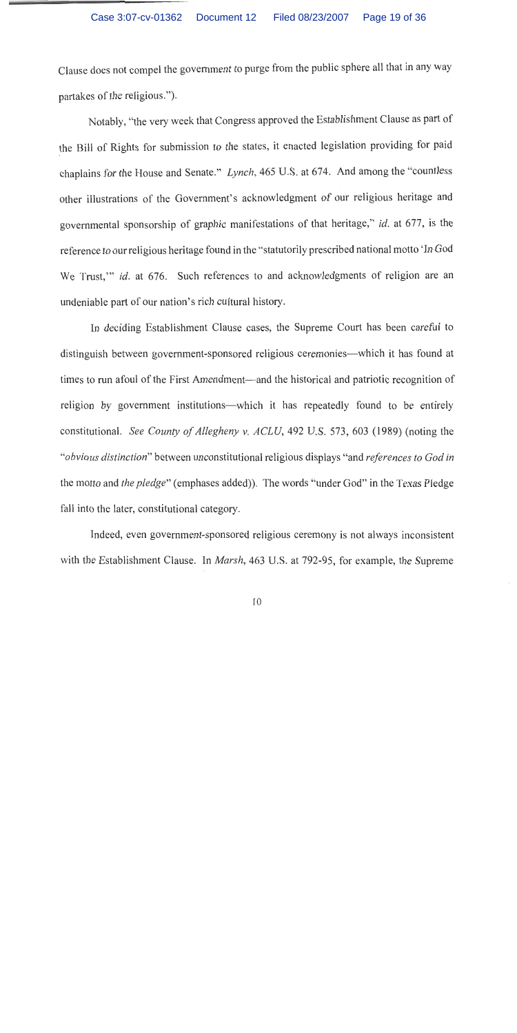Clause does not compel the government to purge from the public sphere all that in any way partakes of the religious.").

Notably, "the very week that Congress approved the Establishment Clause as part of the Bill of Rights for submission to the states, it enacted legislation providing for paid chaplains for the House and Senate." Lynch, 465 U.S. at 674. And among the "countless other illustrations of the Government's acknowledgment of our religious heritage and governmental sponsorship of graphic manifestations of that heritage," id. at 677, is the reference to our religious heritage found in the "statutorily prescribed national motto 'In God We Trust," id. at 676. Such references to and acknowledgments of religion are an undeniable part of our nation's rich cultural history.

In deciding Establishment Clause cases, the Supreme Court has been careful to distinguish between government-sponsored religious ceremonies—which it has found at times to run afoul of the First Amendment—and the historical and patriotic recognition of religion by government institutions-which it has repeatedly found to be entirely constitutional. See County of Allegheny v. ACLU, 492 U.S. 573, 603 (1989) (noting the "obvious distinction" between unconstitutional religious displays "and references to God in the motto and *the pledge*" (emphases added)). The words "under God" in the Texas Pledge fall into the later, constitutional category.

Indeed, even government-sponsored religious ceremony is not always inconsistent with the Establishment Clause. In *Marsh*, 463 U.S. at 792-95, for example, the Supreme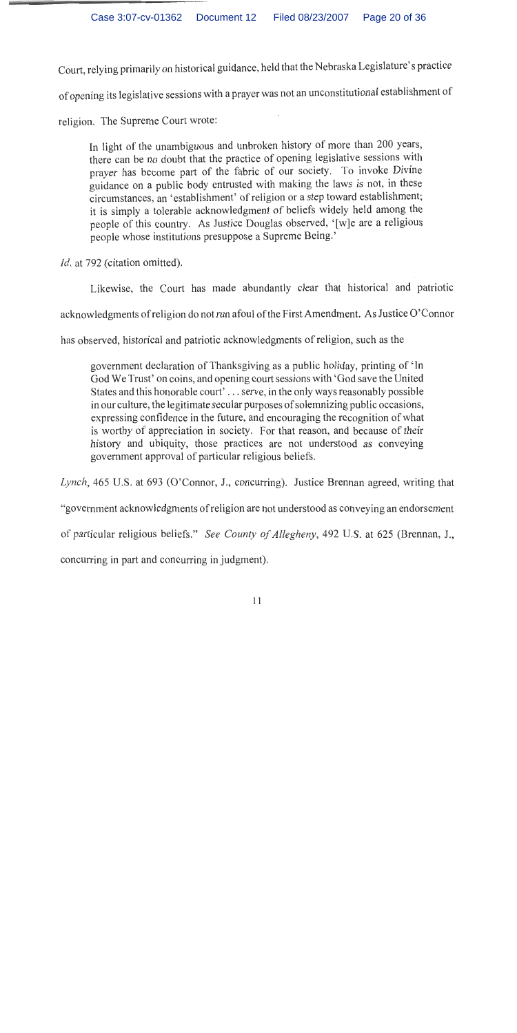Court, relying primarily on historical guidance, held that the Nebraska Legislature's practice

of opening its legislative sessions with a prayer was not an unconstitutional establishment of

religion. The Supreme Court wrote:

In light of the unambiguous and unbroken history of more than 200 years, there can be no doubt that the practice of opening legislative sessions with prayer has become part of the fabric of our society. To invoke Divine guidance on a public body entrusted with making the laws is not, in these circumstances, an 'establishment' of religion or a step toward establishment; it is simply a tolerable acknowledgment of beliefs widely held among the people of this country. As Justice Douglas observed, '[w]e are a religious people whose institutions presuppose a Supreme Being.'

*Id.* at 792 (citation omitted).

Likewise, the Court has made abundantly clear that historical and patriotic

acknowledgments of religion do not run afoul of the First Amendment. As Justice O'Connor

has observed, historical and patriotic acknowledgments of religion, such as the

government declaration of Thanksgiving as a public holiday, printing of 'In God We Trust' on coins, and opening court sessions with 'God save the United States and this honorable court'... serve, in the only ways reasonably possible in our culture, the legitimate secular purposes of solemnizing public occasions, expressing confidence in the future, and encouraging the recognition of what is worthy of appreciation in society. For that reason, and because of their history and ubiquity, those practices are not understood as conveying government approval of particular religious beliefs.

Lynch, 465 U.S. at 693 (O'Connor, J., concurring). Justice Brennan agreed, writing that

"government acknowledgments of religion are not understood as conveying an endorsement

of particular religious beliefs." See County of Allegheny, 492 U.S. at 625 (Brennan, J.,

concurring in part and concurring in judgment).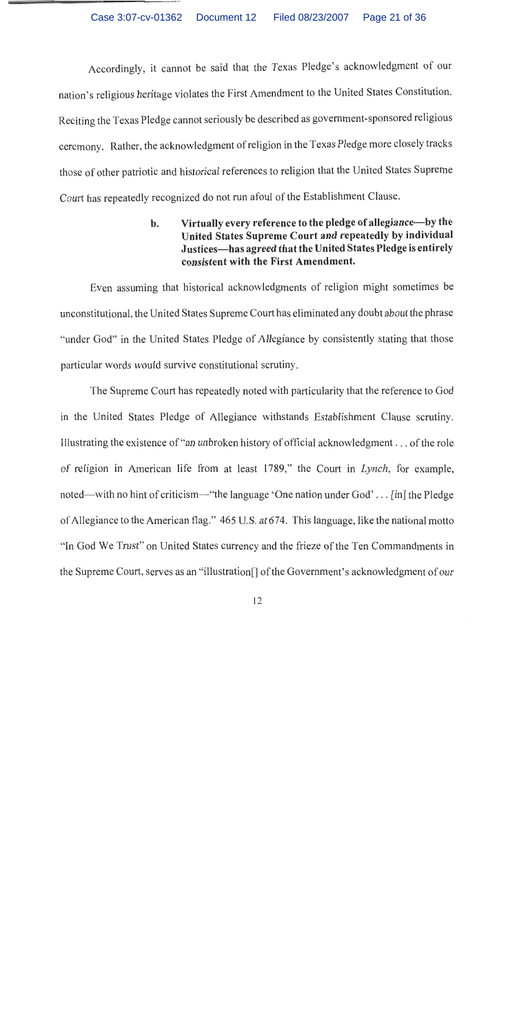Accordingly, it cannot be said that the Texas Pledge's acknowledgment of our nation's religious heritage violates the First Amendment to the United States Constitution. Reciting the Texas Pledge cannot seriously be described as government-sponsored religious ceremony. Rather, the acknowledgment of religion in the Texas Pledge more closely tracks those of other patriotic and historical references to religion that the United States Supreme Court has repeatedly recognized do not run afoul of the Establishment Clause.

> Virtually every reference to the pledge of allegiance—by the  $\mathbf{b}$ . United States Supreme Court and repeatedly by individual Justices—has agreed that the United States Pledge is entirely consistent with the First Amendment.

Even assuming that historical acknowledgments of religion might sometimes be unconstitutional, the United States Supreme Court has eliminated any doubt about the phrase "under God" in the United States Pledge of Allegiance by consistently stating that those particular words would survive constitutional scrutiny.

The Supreme Court has repeatedly noted with particularity that the reference to God in the United States Pledge of Allegiance withstands Establishment Clause scrutiny. Illustrating the existence of "an unbroken history of official acknowledgment... of the role of religion in American life from at least 1789," the Court in Lynch, for example, noted—with no hint of criticism—"the language 'One nation under God'... [in] the Pledge of Allegiance to the American flag." 465 U.S. at 674. This language, like the national motto "In God We Trust" on United States currency and the frieze of the Ten Commandments in the Supreme Court, serves as an "illustration" of the Government's acknowledgment of our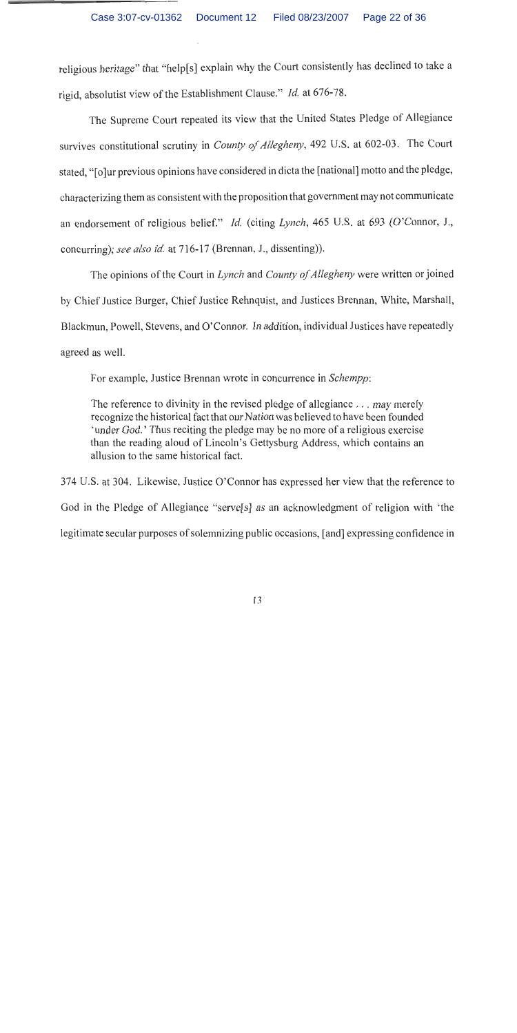religious heritage" that "help[s] explain why the Court consistently has declined to take a rigid, absolutist view of the Establishment Clause." Id. at 676-78.

The Supreme Court repeated its view that the United States Pledge of Allegiance survives constitutional scrutiny in County of Allegheny, 492 U.S. at 602-03. The Court stated, "[o]ur previous opinions have considered in dicta the [national] motto and the pledge, characterizing them as consistent with the proposition that government may not communicate an endorsement of religious belief." Id. (citing Lynch, 465 U.S. at 693 (O'Connor, J., concurring); see also id. at 716-17 (Brennan, J., dissenting)).

The opinions of the Court in Lynch and County of Allegheny were written or joined by Chief Justice Burger, Chief Justice Rehnquist, and Justices Brennan, White, Marshall, Blackmun, Powell, Stevens, and O'Connor. In addition, individual Justices have repeatedly agreed as well.

For example, Justice Brennan wrote in concurrence in Schempp:

The reference to divinity in the revised pledge of allegiance . . . may merely recognize the historical fact that our Nation was believed to have been founded 'under God.' Thus reciting the pledge may be no more of a religious exercise than the reading aloud of Lincoln's Gettysburg Address, which contains an allusion to the same historical fact.

374 U.S. at 304. Likewise, Justice O'Connor has expressed her view that the reference to God in the Pledge of Allegiance "serve<sup>[s]</sup> as an acknowledgment of religion with 'the legitimate secular purposes of solemnizing public occasions, [and] expressing confidence in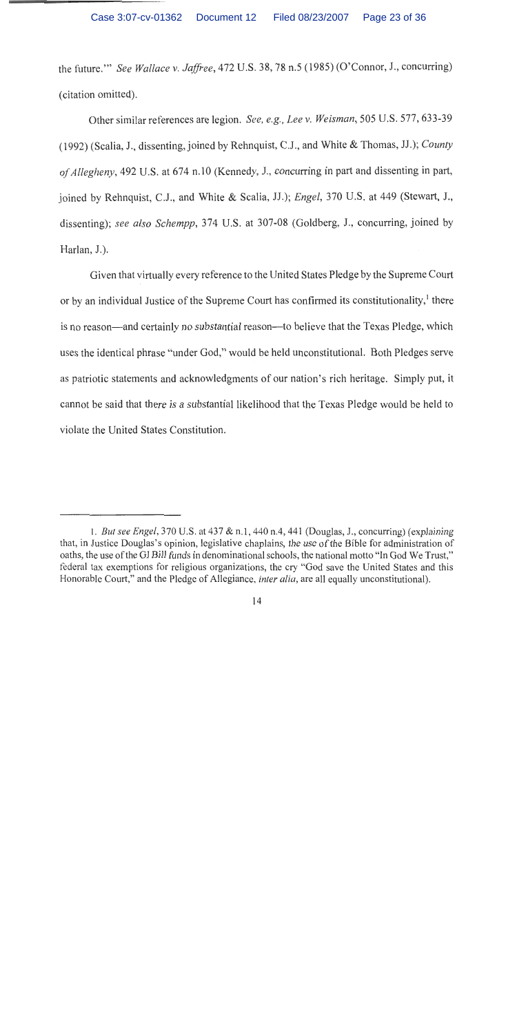Case 3:07-cv-01362 Document 12 Filed 08/23/2007 Page 23 of 36

the future." See Wallace v. Jaffree, 472 U.S. 38, 78 n.5 (1985) (O'Connor, J., concurring) (citation omitted).

Other similar references are legion. See, e.g., Lee v. Weisman, 505 U.S. 577, 633-39 (1992) (Scalia, J., dissenting, joined by Rehnquist, C.J., and White & Thomas, JJ.); County of Allegheny, 492 U.S. at 674 n.10 (Kennedy, J., concurring in part and dissenting in part, joined by Rehnquist, C.J., and White & Scalia, JJ.); Engel, 370 U.S. at 449 (Stewart, J., dissenting); see also Schempp, 374 U.S. at 307-08 (Goldberg, J., concurring, joined by Harlan, J.).

Given that virtually every reference to the United States Pledge by the Supreme Court or by an individual Justice of the Supreme Court has confirmed its constitutionality,<sup>1</sup> there is no reason—and certainly no substantial reason—to believe that the Texas Pledge, which uses the identical phrase "under God," would be held unconstitutional. Both Pledges serve as patriotic statements and acknowledgments of our nation's rich heritage. Simply put, it cannot be said that there is a substantial likelihood that the Texas Pledge would be held to violate the United States Constitution.

<sup>1.</sup> But see Engel, 370 U.S. at 437 & n.1, 440 n.4, 441 (Douglas, J., concurring) (explaining that, in Justice Douglas's opinion, legislative chaplains, the use of the Bible for administration of oaths, the use of the GI Bill funds in denominational schools, the national motto "In God We Trust," federal tax exemptions for religious organizations, the cry "God save the United States and this Honorable Court," and the Pledge of Allegiance, *inter alia*, are all equally unconstitutional).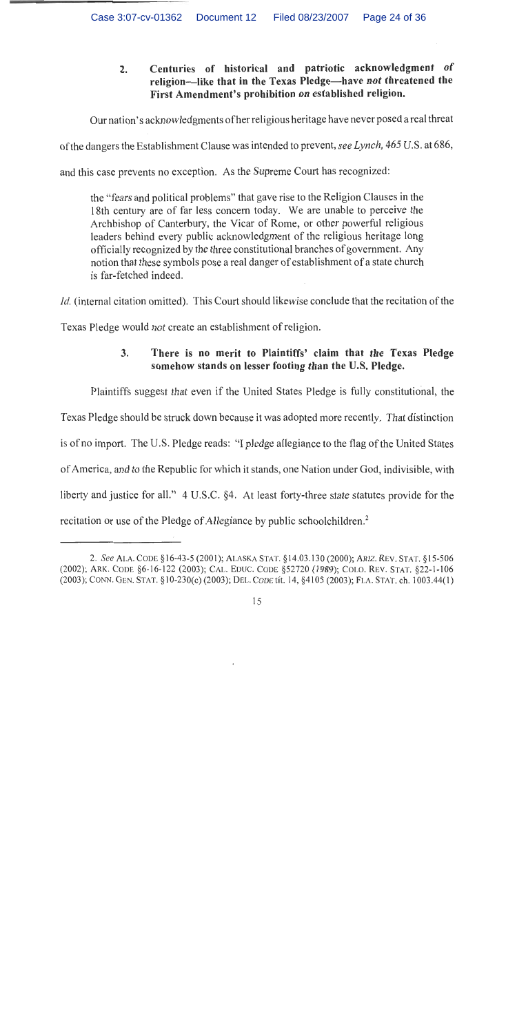Centuries of historical and patriotic acknowledgment of  $2.$ religion—like that in the Texas Pledge—have not threatened the First Amendment's prohibition on established religion.

Our nation's acknowledgments of her religious heritage have never posed a real threat

of the dangers the Establishment Clause was intended to prevent, see Lynch, 465 U.S. at 686,

and this case prevents no exception. As the Supreme Court has recognized:

the "fears and political problems" that gave rise to the Religion Clauses in the 18th century are of far less concern today. We are unable to perceive the Archbishop of Canterbury, the Vicar of Rome, or other powerful religious leaders behind every public acknowledgment of the religious heritage long officially recognized by the three constitutional branches of government. Any notion that these symbols pose a real danger of establishment of a state church is far-fetched indeed.

*Id.* (internal citation omitted). This Court should likewise conclude that the recitation of the

Texas Pledge would not create an establishment of religion.

### 3. There is no merit to Plaintiffs' claim that the Texas Pledge somehow stands on lesser footing than the U.S. Pledge.

Plaintiffs suggest that even if the United States Pledge is fully constitutional, the Texas Pledge should be struck down because it was adopted more recently. That distinction is of no import. The U.S. Pledge reads: "I pledge allegiance to the flag of the United States of America, and to the Republic for which it stands, one Nation under God, indivisible, with liberty and justice for all." 4 U.S.C. §4. At least forty-three state statutes provide for the recitation or use of the Pledge of Allegiance by public schoolchildren.<sup>2</sup>

<sup>2.</sup> See ALA. CODE §16-43-5 (2001); ALASKA STAT. §14.03.130 (2000); ARIZ, REV. STAT. §15-506 (2002); ARK. CODE §6-16-122 (2003); CAL. EDUC. CODE §52720 (1989); COLO. REV. STAT. §22-1-106 (2003); CONN. GEN. STAT. §10-230(c) (2003); DEL. CODE tit. 14, §4105 (2003); FLA. STAT. ch. 1003.44(1)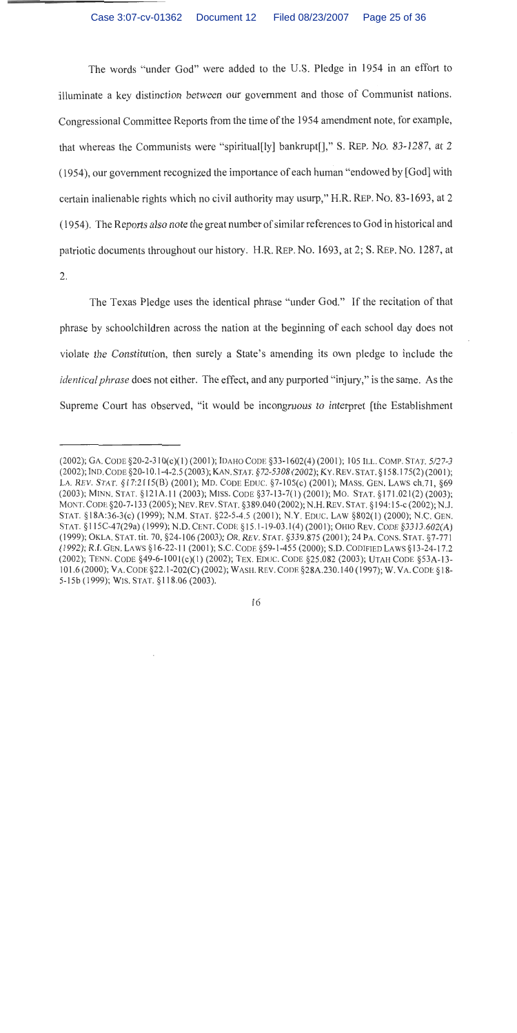The words "under God" were added to the U.S. Pledge in 1954 in an effort to illuminate a key distinction between our government and those of Communist nations. Congressional Committee Reports from the time of the 1954 amendment note, for example, that whereas the Communists were "spiritual[ly] bankrupt[]," S. REP. NO. 83-1287, at 2 (1954), our government recognized the importance of each human "endowed by [God] with certain inalienable rights which no civil authority may usurp," H.R. REP. NO. 83-1693, at 2 (1954). The Reports also note the great number of similar references to God in historical and patriotic documents throughout our history. H.R. REP. No. 1693, at 2; S. REP. No. 1287, at 2.

The Texas Pledge uses the identical phrase "under God." If the recitation of that phrase by schoolchildren across the nation at the beginning of each school day does not violate the Constitution, then surely a State's amending its own pledge to include the *identical phrase* does not either. The effect, and any purported "injury," is the same. As the Supreme Court has observed, "it would be incongruous to interpret [the Establishment

<sup>(2002);</sup> GA. CODE §20-2-310(c)(1)(2001); IDAHO CODE §33-1602(4)(2001); 105 ILL. COMP. STAT. 5/27-3 (2002); IND. CODE §20-10.1-4-2.5 (2003); KAN. STAT. §72-5308 (2002); KY. REV. STAT. §158.175(2) (2001); LA. REV. STAT. §17:2115(B) (2001); MD. CODE EDUC. §7-105(c) (2001); MASS. GEN. LAWS ch.71, §69 (2003); MINN. STAT. §121A.11 (2003); MISS. CODE §37-13-7(1) (2001); MO. STAT. §171.021(2) (2003); MONT. CODE §20-7-133 (2005); NEV. REV. STAT. §389.040 (2002); N.H. REV. STAT. §194:15-c (2002); N.J. STAT. §18A:36-3(c) (1999); N.M. STAT. §22-5-4.5 (2001); N.Y. EDUC. LAW §802(1) (2000); N.C. GEN. STAT. §115C-47(29a) (1999); N.D. CENT. CODE §15.1-19-03.1(4) (2001); OHIO REV. CODE §3313.602(A) (1999); OKLA. STAT. tit. 70, §24-106 (2003); OR. REV. STAT. §339.875 (2001); 24 PA. CONS. STAT. §7-771 (1992); R.I. GEN. LAWS §16-22-11 (2001); S.C. CODE §59-1-455 (2000); S.D. CODIFIED LAWS §13-24-17.2 (2002); TENN. CODE §49-6-1001(c)(1) (2002); TEX. EDUC. CODE §25.082 (2003); UTAH CODE §53A-13-101.6 (2000); VA. CODE §22.1-202(C) (2002); WASH. REV. CODE §28A.230.140 (1997); W. VA. CODE §18-5-15b (1999); WIS. STAT. §118.06 (2003).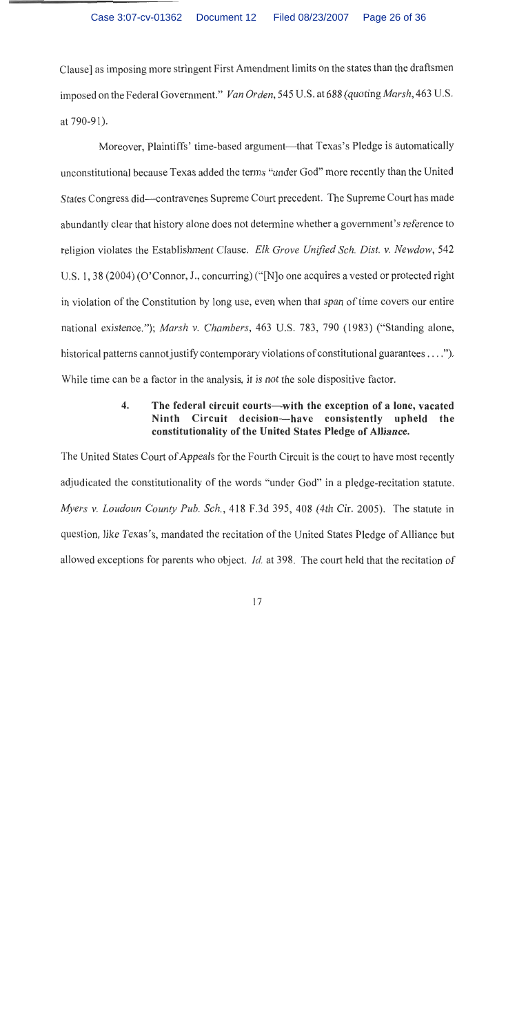Clause] as imposing more stringent First Amendment limits on the states than the draftsmen imposed on the Federal Government." Van Orden, 545 U.S. at 688 (quoting *Marsh*, 463 U.S. at 790-91).

Moreover, Plaintiffs' time-based argument—that Texas's Pledge is automatically unconstitutional because Texas added the terms "under God" more recently than the United States Congress did—contravenes Supreme Court precedent. The Supreme Court has made abundantly clear that history alone does not determine whether a government's reference to religion violates the Establishment Clause. Elk Grove Unified Sch. Dist. v. Newdow, 542 U.S. 1, 38 (2004) (O'Connor, J., concurring) ("[N] o one acquires a vested or protected right in violation of the Constitution by long use, even when that span of time covers our entire national existence."); *Marsh v. Chambers*, 463 U.S. 783, 790 (1983) ("Standing alone, historical patterns cannot justify contemporary violations of constitutional guarantees . . . ."). While time can be a factor in the analysis, it is not the sole dispositive factor.

## $\overline{4}$ . The federal circuit courts—with the exception of a lone, vacated Ninth Circuit decision-have consistently upheld the constitutionality of the United States Pledge of Alliance.

The United States Court of Appeals for the Fourth Circuit is the court to have most recently adjudicated the constitutionality of the words "under God" in a pledge-recitation statute. Myers v. Loudoun County Pub. Sch., 418 F.3d 395, 408 (4th Cir. 2005). The statute in question, like Texas's, mandated the recitation of the United States Pledge of Alliance but allowed exceptions for parents who object. *Id.* at 398. The court held that the recitation of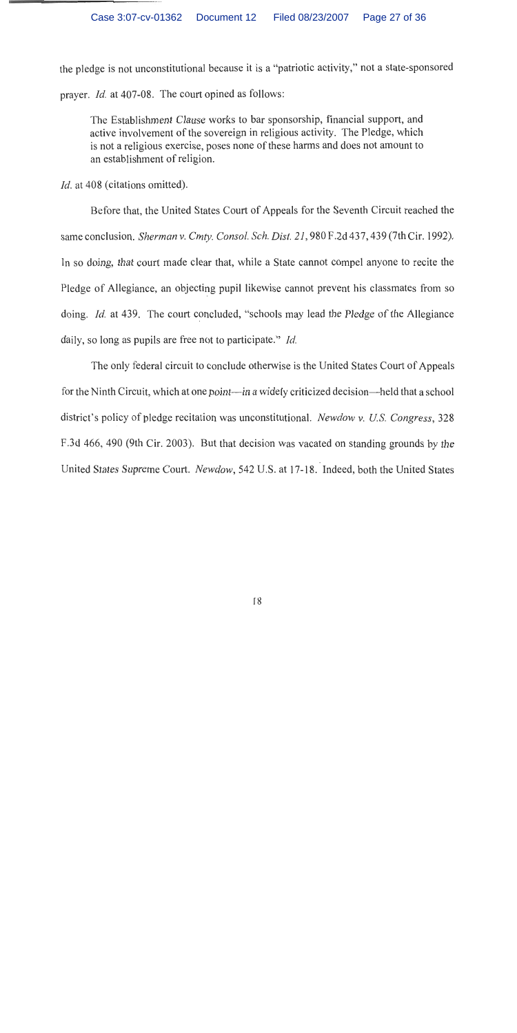the pledge is not unconstitutional because it is a "patriotic activity," not a state-sponsored prayer. *Id.* at 407-08. The court opined as follows:

The Establishment Clause works to bar sponsorship, financial support, and active involvement of the sovereign in religious activity. The Pledge, which is not a religious exercise, poses none of these harms and does not amount to an establishment of religion.

*Id.* at 408 (citations omitted).

Before that, the United States Court of Appeals for the Seventh Circuit reached the same conclusion. Sherman v. Cmty. Consol. Sch. Dist. 21, 980 F.2d 437, 439 (7th Cir. 1992). In so doing, that court made clear that, while a State cannot compel anyone to recite the Pledge of Allegiance, an objecting pupil likewise cannot prevent his classmates from so doing. *Id.* at 439. The court concluded, "schools may lead the Pledge of the Allegiance daily, so long as pupils are free not to participate." Id.

The only federal circuit to conclude otherwise is the United States Court of Appeals for the Ninth Circuit, which at one point—in a widely criticized decision—held that a school district's policy of pledge recitation was unconstitutional. Newdow v. U.S. Congress, 328 F.3d 466, 490 (9th Cir. 2003). But that decision was vacated on standing grounds by the United States Supreme Court. Newdow, 542 U.S. at 17-18. Indeed, both the United States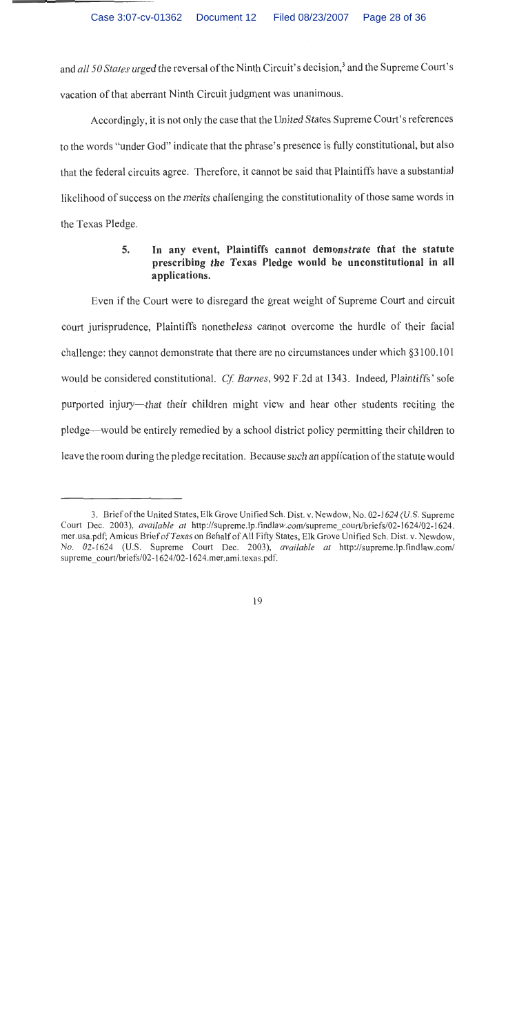and all 50 States urged the reversal of the Ninth Circuit's decision,<sup>3</sup> and the Supreme Court's vacation of that aberrant Ninth Circuit judgment was unanimous.

Accordingly, it is not only the case that the United States Supreme Court's references to the words "under God" indicate that the phrase's presence is fully constitutional, but also that the federal circuits agree. Therefore, it cannot be said that Plaintiffs have a substantial likelihood of success on the merits challenging the constitutionality of those same words in the Texas Pledge.

## 5. In any event, Plaintiffs cannot demonstrate that the statute prescribing the Texas Pledge would be unconstitutional in all applications.

Even if the Court were to disregard the great weight of Supreme Court and circuit court jurisprudence, Plaintiffs nonetheless cannot overcome the hurdle of their facial challenge: they cannot demonstrate that there are no circumstances under which §3100.101 would be considered constitutional. Cf. Barnes, 992 F.2d at 1343. Indeed, Plaintiffs' sole purported injury—that their children might view and hear other students reciting the pledge—would be entirely remedied by a school district policy permitting their children to leave the room during the pledge recitation. Because such an application of the statute would

<sup>3.</sup> Brief of the United States, Elk Grove Unified Sch. Dist. v. Newdow, No. 02-1624 (U.S. Supreme Court Dec. 2003), *available at http://supreme.lp.findlaw.com/supreme court/briefs/02-1624/02-1624.* mer.usa.pdf; Amicus Brief of Texas on Behalf of All Fifty States, Elk Grove Unified Sch. Dist. v. Newdow, No. 02-1624 (U.S. Supreme Court Dec. 2003), available at http://supreme.lp.findlaw.com/ supreme\_court/briefs/02-1624/02-1624.mer.ami.texas.pdf.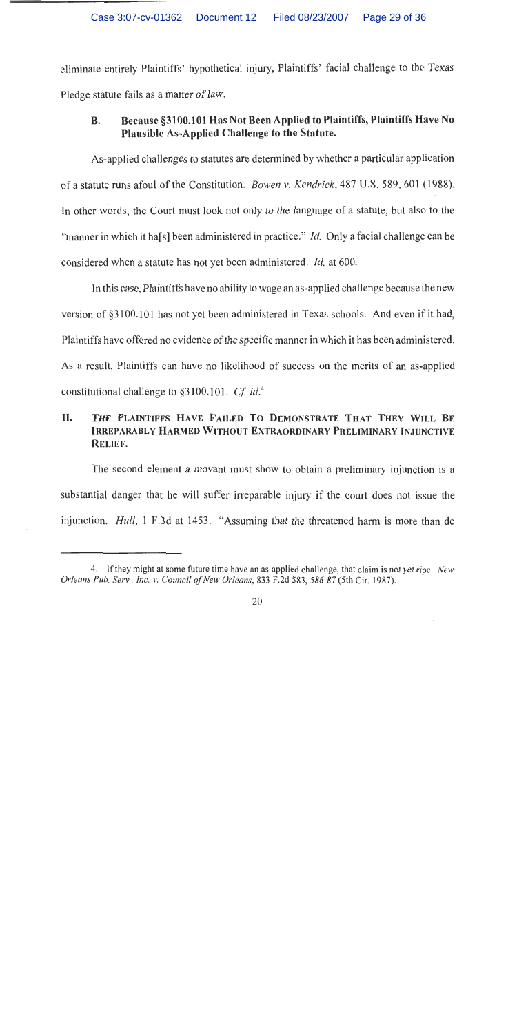Case 3:07-cv-01362 Document 12 Filed 08/23/2007 Page 29 of 36

eliminate entirely Plaintiffs' hypothetical injury, Plaintiffs' facial challenge to the Texas Pledge statute fails as a matter of law.

### Because §3100.101 Has Not Been Applied to Plaintiffs, Plaintiffs Have No **B.** Plausible As-Applied Challenge to the Statute.

As-applied challenges to statutes are determined by whether a particular application of a statute runs afoul of the Constitution. Bowen v. Kendrick, 487 U.S. 589, 601 (1988). In other words, the Court must look not only to the language of a statute, but also to the "manner in which it has all been administered in practice." *Id.* Only a facial challenge can be considered when a statute has not yet been administered. *Id.* at 600.

In this case, Plaintiffs have no ability to wage an as-applied challenge because the new version of §3100.101 has not yet been administered in Texas schools. And even if it had, Plaintiffs have offered no evidence of the specific manner in which it has been administered. As a result, Plaintiffs can have no likelihood of success on the merits of an as-applied constitutional challenge to  $\S 3100.101$ . Cf. id.<sup>4</sup>

## II. THE PLAINTIFFS HAVE FAILED TO DEMONSTRATE THAT THEY WILL BE IRREPARABLY HARMED WITHOUT EXTRAORDINARY PRELIMINARY INJUNCTIVE RELIEF.

The second element a movant must show to obtain a preliminary injunction is a substantial danger that he will suffer irreparable injury if the court does not issue the injunction. *Hull*, 1 F.3d at 1453. "Assuming that the threatened harm is more than de

<sup>4.</sup> If they might at some future time have an as-applied challenge, that claim is not yet ripe. New Orleans Pub. Serv., Inc. v. Council of New Orleans, 833 F.2d 583, 586-87 (5th Cir. 1987).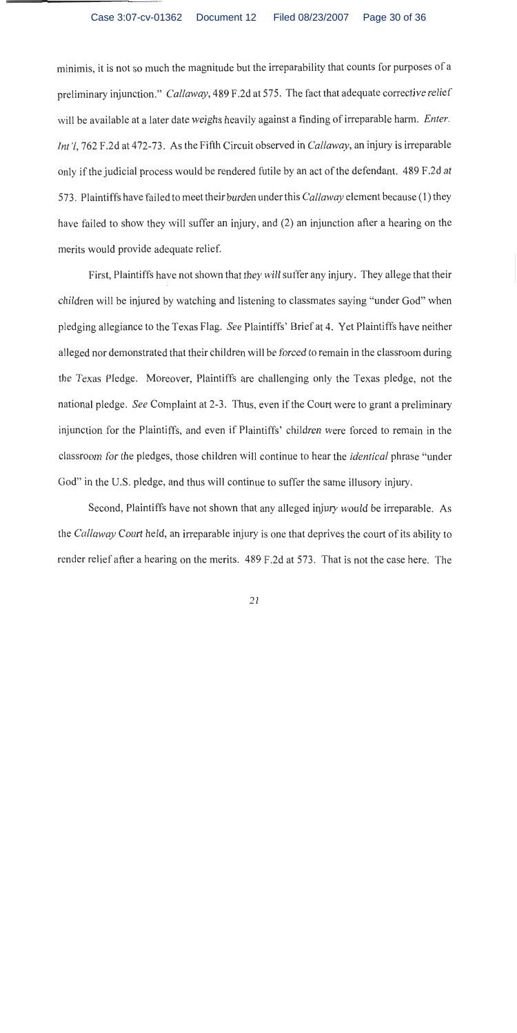#### Document 12 Filed 08/23/2007 Page 30 of 36 Case 3:07-cv-01362

minimis, it is not so much the magnitude but the irreparability that counts for purposes of a preliminary injunction." Callaway, 489 F.2d at 575. The fact that adequate corrective relief will be available at a later date weighs heavily against a finding of irreparable harm. Enter. Int'l, 762 F.2d at 472-73. As the Fifth Circuit observed in Callaway, an injury is irreparable only if the judicial process would be rendered futile by an act of the defendant. 489 F.2d at 573. Plaintiffs have failed to meet their burden under this Callaway element because (1) they have failed to show they will suffer an injury, and (2) an injunction after a hearing on the merits would provide adequate relief.

First, Plaintiffs have not shown that they will suffer any injury. They allege that their children will be injured by watching and listening to classmates saying "under God" when pledging allegiance to the Texas Flag. See Plaintiffs' Brief at 4. Yet Plaintiffs have neither alleged nor demonstrated that their children will be forced to remain in the classroom during the Texas Pledge. Moreover, Plaintiffs are challenging only the Texas pledge, not the national pledge. See Complaint at 2-3. Thus, even if the Court were to grant a preliminary injunction for the Plaintiffs, and even if Plaintiffs' children were forced to remain in the classroom for the pledges, those children will continue to hear the *identical* phrase "under" God" in the U.S. pledge, and thus will continue to suffer the same illusory injury.

Second, Plaintiffs have not shown that any alleged injury would be irreparable. As the Callaway Court held, an irreparable injury is one that deprives the court of its ability to render relief after a hearing on the merits. 489 F.2d at 573. That is not the case here. The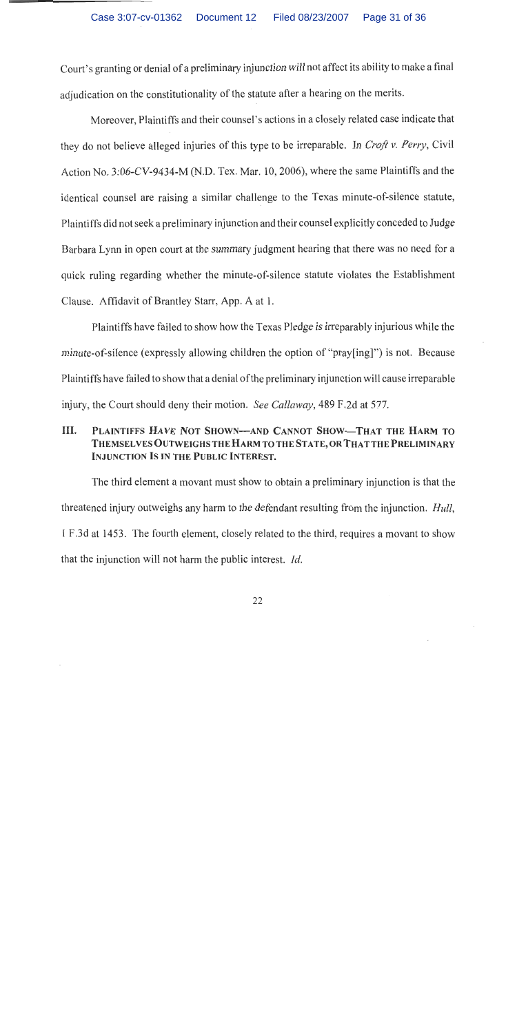Court's granting or denial of a preliminary injunction will not affect its ability to make a final adjudication on the constitutionality of the statute after a hearing on the merits.

Moreover, Plaintiffs and their counsel's actions in a closely related case indicate that they do not believe alleged injuries of this type to be irreparable. In Croft v. Perry, Civil Action No. 3:06-CV-9434-M (N.D. Tex. Mar. 10, 2006), where the same Plaintiffs and the identical counsel are raising a similar challenge to the Texas minute-of-silence statute, Plaintiffs did not seek a preliminary injunction and their counsel explicitly conceded to Judge Barbara Lynn in open court at the summary judgment hearing that there was no need for a quick ruling regarding whether the minute-of-silence statute violates the Establishment Clause. Affidavit of Brantley Starr, App. A at 1.

Plaintiffs have failed to show how the Texas Pledge is irreparably injurious while the minute-of-silence (expressly allowing children the option of "pray[ing]") is not. Because Plaintiffs have failed to show that a denial of the preliminary injunction will cause irreparable injury, the Court should deny their motion. See Callaway, 489 F.2d at 577.

### III. PLAINTIFFS HAVE NOT SHOWN-AND CANNOT SHOW-THAT THE HARM TO THEMSELVES OUTWEIGHS THE HARM TO THE STATE, OR THAT THE PRELIMINARY **INJUNCTION IS IN THE PUBLIC INTEREST.**

The third element a movant must show to obtain a preliminary injunction is that the threatened injury outweighs any harm to the defendant resulting from the injunction. *Hull*, 1 F.3d at 1453. The fourth element, closely related to the third, requires a movant to show that the injunction will not harm the public interest. *Id.*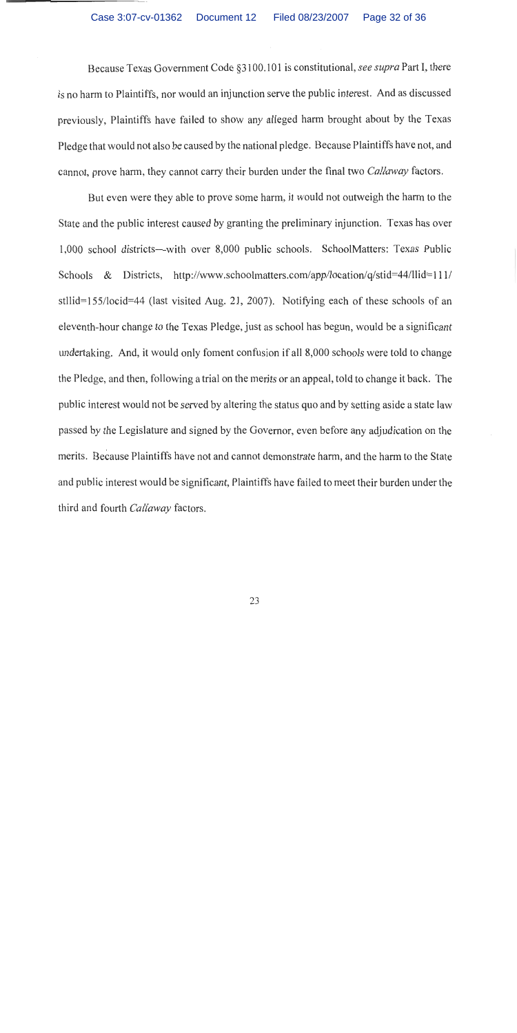Because Texas Government Code §3100.101 is constitutional, see supra Part I, there is no harm to Plaintiffs, nor would an injunction serve the public interest. And as discussed previously, Plaintiffs have failed to show any alleged harm brought about by the Texas Pledge that would not also be caused by the national pledge. Because Plaintiffs have not, and cannot, prove harm, they cannot carry their burden under the final two Callaway factors.

But even were they able to prove some harm, it would not outweigh the harm to the State and the public interest caused by granting the preliminary injunction. Texas has over 1,000 school districts—with over 8,000 public schools. SchoolMatters: Texas Public Schools & Districts, http://www.schoolmatters.com/app/location/q/stid=44/llid=111/ stllid=155/locid=44 (last visited Aug. 21, 2007). Notifying each of these schools of an eleventh-hour change to the Texas Pledge, just as school has begun, would be a significant undertaking. And, it would only foment confusion if all 8,000 schools were told to change the Pledge, and then, following a trial on the merits or an appeal, told to change it back. The public interest would not be served by altering the status quo and by setting aside a state law passed by the Legislature and signed by the Governor, even before any adjudication on the merits. Because Plaintiffs have not and cannot demonstrate harm, and the harm to the State and public interest would be significant, Plaintiffs have failed to meet their burden under the third and fourth Callaway factors.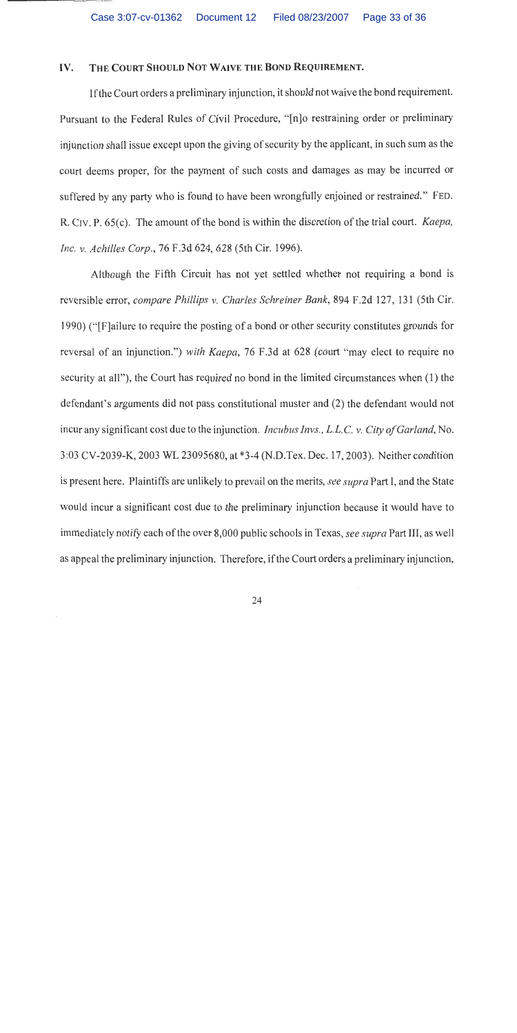#### THE COURT SHOULD NOT WAIVE THE BOND REQUIREMENT. IV.

If the Court orders a preliminary injunction, it should not waive the bond requirement. Pursuant to the Federal Rules of Civil Procedure, "[n]o restraining order or preliminary injunction shall issue except upon the giving of security by the applicant, in such sum as the court deems proper, for the payment of such costs and damages as may be incurred or suffered by any party who is found to have been wrongfully enjoined or restrained." FED. R. CIV. P. 65(c). The amount of the bond is within the discretion of the trial court. Kaepa, Inc. v. Achilles Corp., 76 F.3d 624, 628 (5th Cir. 1996).

Although the Fifth Circuit has not yet settled whether not requiring a bond is reversible error, compare Phillips v. Charles Schreiner Bank, 894 F.2d 127, 131 (5th Cir. 1990) ("[Flailure to require the posting of a bond or other security constitutes grounds for reversal of an injunction.") with Kaepa, 76 F.3d at 628 (court "may elect to require no security at all"), the Court has required no bond in the limited circumstances when (1) the defendant's arguments did not pass constitutional muster and (2) the defendant would not incur any significant cost due to the injunction. *Incubus Invs., L.L.C. v. City of Garland*, No. 3:03 CV-2039-K, 2003 WL 23095680, at \*3-4 (N.D.Tex. Dec. 17, 2003). Neither condition is present here. Plaintiffs are unlikely to prevail on the merits, see supra Part I, and the State would incur a significant cost due to the preliminary injunction because it would have to immediately notify each of the over 8,000 public schools in Texas, see supra Part III, as well as appeal the preliminary injunction. Therefore, if the Court orders a preliminary injunction,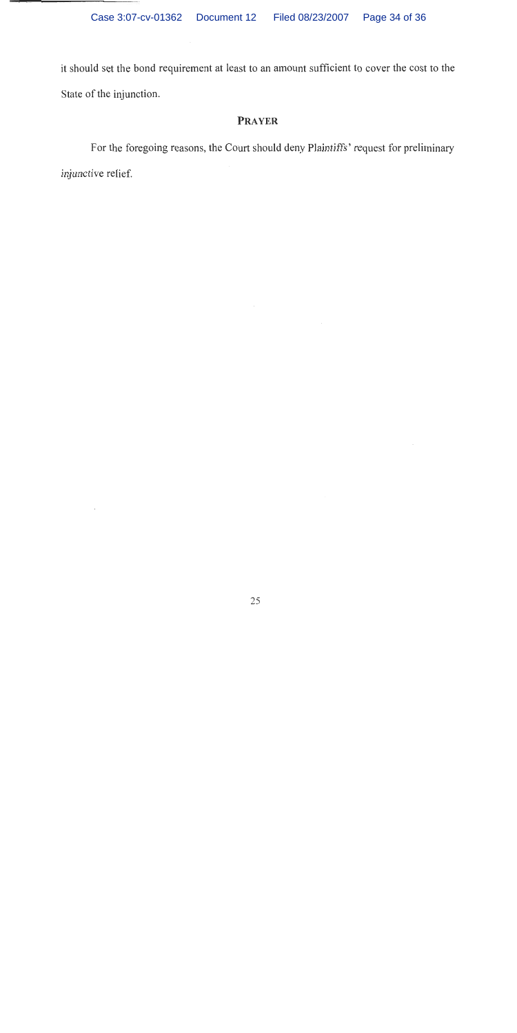it should set the bond requirement at least to an amount sufficient to cover the cost to the State of the injunction.

# **PRAYER**

For the foregoing reasons, the Court should deny Plaintiffs' request for preliminary injunctive relief.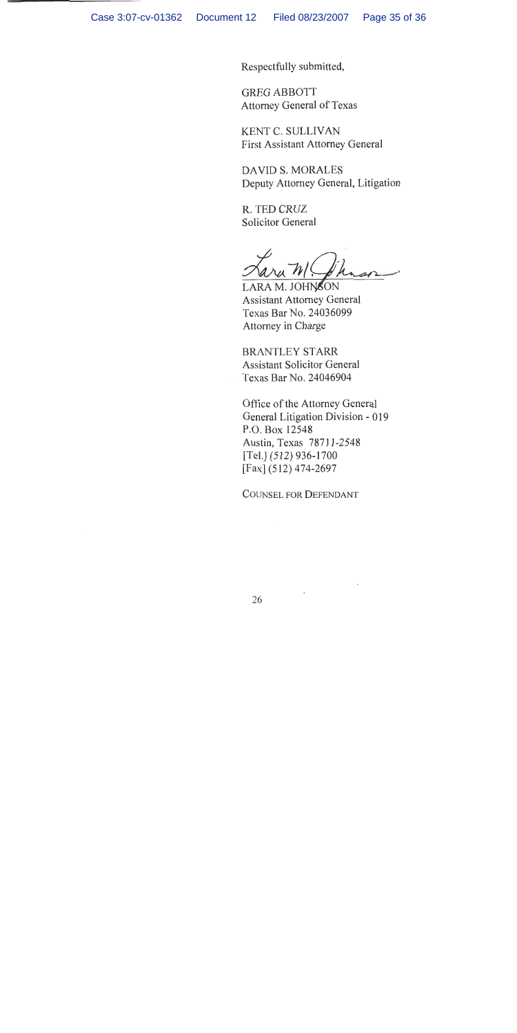Respectfully submitted,

**GREG ABBOTT** Attorney General of Texas

KENT C. SULLIVAN **First Assistant Attorney General** 

**DAVID S. MORALES** Deputy Attorney General, Litigation

R. TED CRUZ **Solicitor General** 

LARA M. JOHNSON **Assistant Attorney General** Texas Bar No. 24036099 Attorney in Charge

**BRANTLEY STARR Assistant Solicitor General** Texas Bar No. 24046904

Office of the Attorney General General Litigation Division - 019 P.O. Box 12548 Austin, Texas 78711-2548  $[Tel.]$  (512) 936-1700 [Fax] (512) 474-2697

**COUNSEL FOR DEFENDANT**